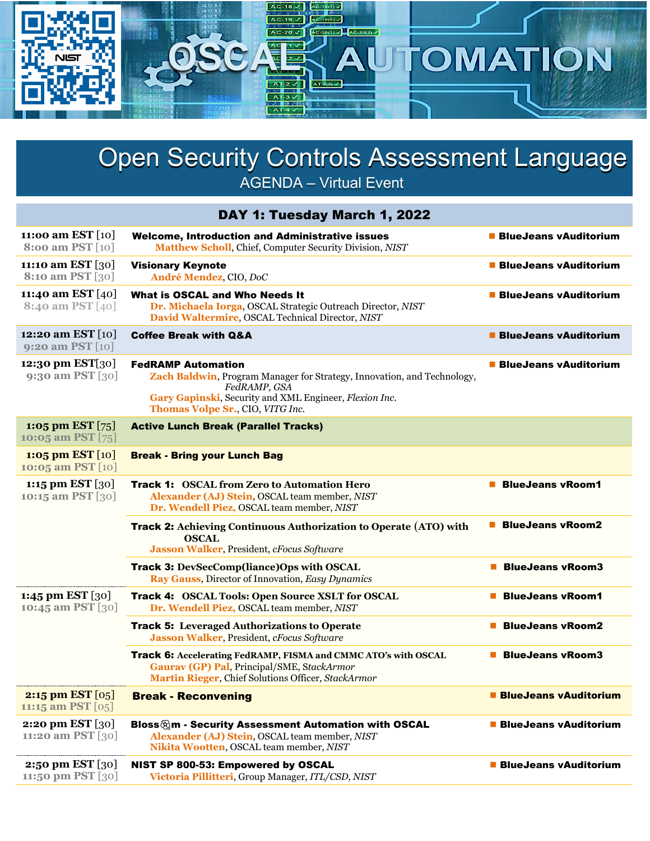

## **Open Security Controls Assessment Language** AGENDA – Virtual Event

| DAY 1: Tuesday March 1, 2022                     |                                                                                                                                                                                                                    |                              |  |  |
|--------------------------------------------------|--------------------------------------------------------------------------------------------------------------------------------------------------------------------------------------------------------------------|------------------------------|--|--|
| 11:00 am EST [10]<br>8:00 am PST [10]            | <b>Welcome, Introduction and Administrative issues</b><br>Matthew Scholl, Chief, Computer Security Division, NIST                                                                                                  | <b>BlueJeans vAuditorium</b> |  |  |
| 11:10 am EST [30]<br>8:10 am PST [30]            | <b>Visionary Keynote</b><br>André Mendez, CIO, DoC                                                                                                                                                                 | ■ BlueJeans vAuditorium      |  |  |
| 11:40 am EST [40]<br><b>8:40 am PST</b> [40]     | What is OSCAL and Who Needs It<br>Dr. Michaela Iorga, OSCAL Strategic Outreach Director, NIST<br>David Waltermire, OSCAL Technical Director, NIST                                                                  | <b>BlueJeans vAuditorium</b> |  |  |
| 12:20 am EST [10]<br>9:20 am PST [10]            | <b>Coffee Break with Q&amp;A</b>                                                                                                                                                                                   | <b>BlueJeans vAuditorium</b> |  |  |
| 12:30 pm EST[30]<br>9:30 am PST [30]             | <b>FedRAMP Automation</b><br>Zach Baldwin, Program Manager for Strategy, Innovation, and Technology,<br>FedRAMP, GSA<br>Gary Gapinski, Security and XML Engineer, Flexion Inc.<br>Thomas Volpe Sr., CIO, VITG Inc. | ■ BlueJeans vAuditorium      |  |  |
| 1:05 pm EST $[75]$<br>10:05 am PST [75]          | <b>Active Lunch Break (Parallel Tracks)</b>                                                                                                                                                                        |                              |  |  |
| 1:05 pm EST $[10]$<br>10:05 am PST [10]          | <b>Break - Bring your Lunch Bag</b>                                                                                                                                                                                |                              |  |  |
| 1:15 pm EST $[30]$<br>10:15 am PST [30]          | <b>Track 1: OSCAL from Zero to Automation Hero</b><br>Alexander (AJ) Stein, OSCAL team member, NIST<br>Dr. Wendell Piez, OSCAL team member, NIST                                                                   | <b>BlueJeans vRoom1</b>      |  |  |
|                                                  | <b>Track 2:</b> Achieving Continuous Authorization to Operate (ATO) with<br><b>OSCAL</b><br><b>Jasson Walker, President, cFocus Software</b>                                                                       | <b>BlueJeans vRoom2</b>      |  |  |
|                                                  | <b>Track 3: DevSecComp(liance)Ops with OSCAL</b><br>Ray Gauss, Director of Innovation, Easy Dynamics                                                                                                               | <b>BlueJeans vRoom3</b>      |  |  |
| 1:45 pm EST $[30]$<br>10:45 am PST [30]          | <b>Track 4: OSCAL Tools: Open Source XSLT for OSCAL</b><br>Dr. Wendell Piez, OSCAL team member, NIST                                                                                                               | <b>BlueJeans vRoom1</b>      |  |  |
|                                                  | <b>Track 5:</b> Leveraged Authorizations to Operate<br><b>Jasson Walker, President, cFocus Software</b>                                                                                                            | <b>BlueJeans vRoom2</b>      |  |  |
|                                                  | Track 6: Accelerating FedRAMP, FISMA and CMMC ATO's with OSCAL<br>Gaurav (GP) Pal, Principal/SME, StackArmor<br>Martin Rieger, Chief Solutions Officer, StackArmor                                                 | <b>BlueJeans vRoom3</b>      |  |  |
| <b>2:15 pm EST</b> $[05]$<br>11:15 am PST $[05]$ | <b>Break - Reconvening</b>                                                                                                                                                                                         | <b>BlueJeans vAuditorium</b> |  |  |
| <b>2:20 pm EST</b> [30]<br>11:20 am PST [30]     | Bloss &m - Security Assessment Automation with OSCAL<br>Alexander (AJ) Stein, OSCAL team member, NIST<br>Nikita Wootten, OSCAL team member, NIST                                                                   | <b>BlueJeans vAuditorium</b> |  |  |
| <b>2:50 pm EST</b> [30]<br>11:50 pm PST [30]     | NIST SP 800-53: Empowered by OSCAL<br>Victoria Pillitteri, Group Manager, ITL/CSD, NIST                                                                                                                            | <b>BlueJeans vAuditorium</b> |  |  |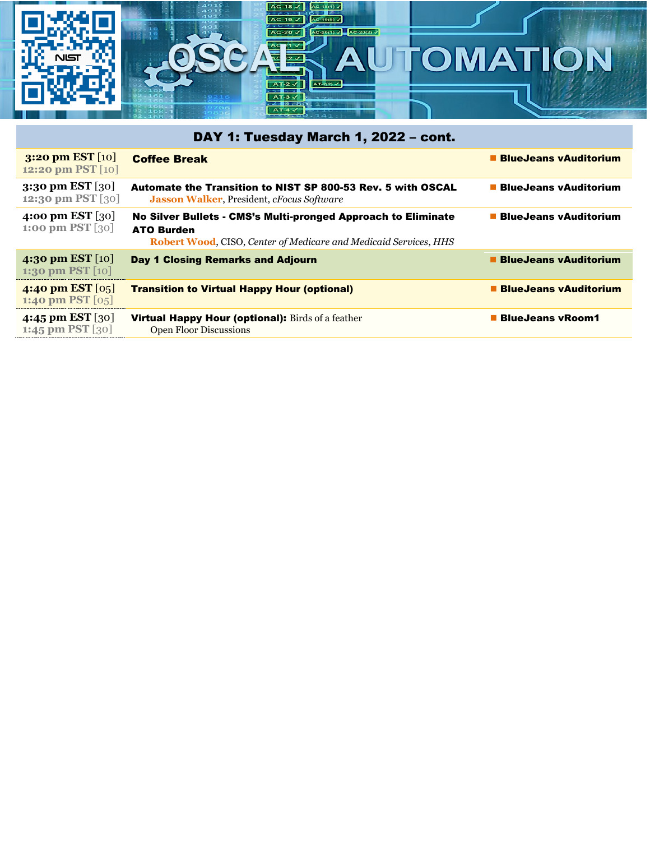## $AC-18$   $\times$   $AC-18$ <br> $AC-19$   $\times$   $AC-19$ P,  $-20$   $\sqrt{ }$  $AC-20(1)$  $\overline{A}$ **SCALA** OMATION  $\blacktriangle$ **NIST**

| DAY 1: Tuesday March 1, 2022 - cont.      |                                                                                                                                                               |                                |  |  |
|-------------------------------------------|---------------------------------------------------------------------------------------------------------------------------------------------------------------|--------------------------------|--|--|
| 3:20 pm EST $[10]$<br>12:20 pm PST [10]   | <b>Coffee Break</b>                                                                                                                                           | <b>BlueJeans vAuditorium</b>   |  |  |
| 3:30 pm EST $[30]$<br>12:30 pm PST [30]   | Automate the Transition to NIST SP 800-53 Rev. 5 with OSCAL<br><b>Jasson Walker, President, <i>cFocus Software</i></b>                                        | ■ BlueJeans vAuditorium        |  |  |
| 4:00 pm EST $[30]$<br>1:00 pm PST $[30]$  | No Silver Bullets - CMS's Multi-pronged Approach to Eliminate<br><b>ATO Burden</b><br><b>Robert Wood, CISO, Center of Medicare and Medicaid Services, HHS</b> | <b>BlueJeans vAuditorium</b>   |  |  |
| 4:30 pm EST $[10]$<br>1:30 pm PST $[10]$  | Day 1 Closing Remarks and Adjourn                                                                                                                             | <b>E</b> BlueJeans vAuditorium |  |  |
| 4:40 pm EST $[0.5]$<br>1:40 pm PST $[05]$ | <b>Transition to Virtual Happy Hour (optional)</b>                                                                                                            | <b>BlueJeans vAuditorium</b>   |  |  |
| 4:45 pm EST [30]<br>1:45 pm PST $[30]$    | <b>Virtual Happy Hour (optional):</b> Birds of a feather<br><b>Open Floor Discussions</b>                                                                     | <b>BlueJeans vRoom1</b>        |  |  |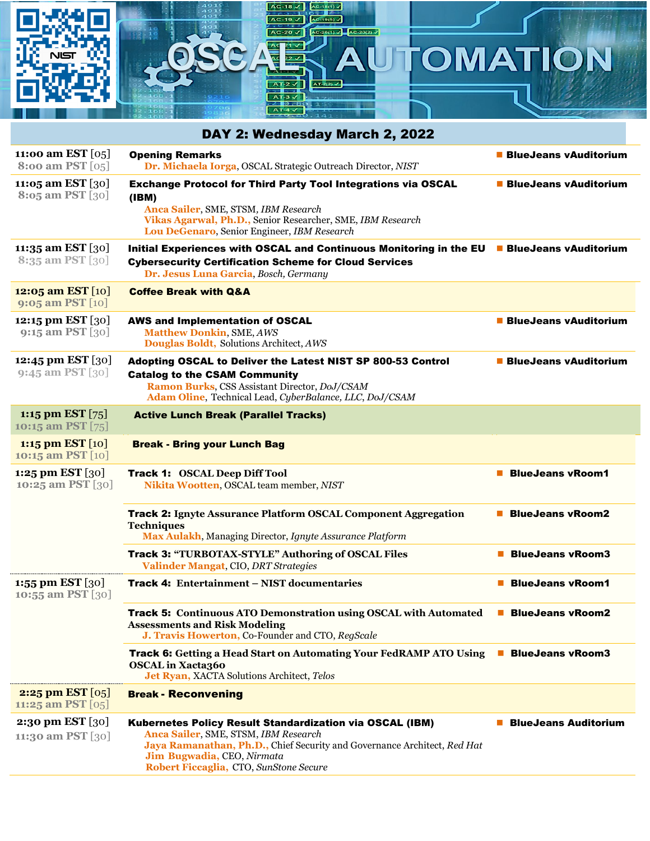## $O(1)$   $\sqrt{2}$  Ac OMATION  $\boldsymbol{\Delta}$  $\frac{\Delta T^2}{\Delta T^2}$  $AT-2(2)$

|                                            | DAY 2: Wednesday March 2, 2022                                                                                                                                                                                                                              |                              |
|--------------------------------------------|-------------------------------------------------------------------------------------------------------------------------------------------------------------------------------------------------------------------------------------------------------------|------------------------------|
| 11:00 am EST $[05]$<br>8:00 am PST $[0,5]$ | <b>Opening Remarks</b><br>Dr. Michaela Iorga, OSCAL Strategic Outreach Director, NIST                                                                                                                                                                       | <b>BlueJeans vAuditorium</b> |
| 11:05 am EST $[30]$<br>8:05 am PST [30]    | <b>Exchange Protocol for Third Party Tool Integrations via OSCAL</b><br>(IBM)<br>Anca Sailer, SME, STSM, IBM Research<br>Vikas Agarwal, Ph.D., Senior Researcher, SME, IBM Research<br>Lou DeGenaro, Senior Engineer, IBM Research                          | <b>BlueJeans vAuditorium</b> |
| 11:35 am EST $[30]$<br>8:35 am PST [30]    | Initial Experiences with OSCAL and Continuous Monitoring in the EU <b>BlueJeans vAuditorium</b><br><b>Cybersecurity Certification Scheme for Cloud Services</b><br>Dr. Jesus Luna Garcia, Bosch, Germany                                                    |                              |
| 12:05 am EST $[10]$<br>9:05 am PST $[10]$  | <b>Coffee Break with Q&amp;A</b>                                                                                                                                                                                                                            |                              |
| 12:15 pm EST $[30]$<br>9:15 am PST [30]    | <b>AWS and Implementation of OSCAL</b><br><b>Matthew Donkin, SME, AWS</b><br>Douglas Boldt, Solutions Architect, AWS                                                                                                                                        | <b>BlueJeans vAuditorium</b> |
| 12:45 pm EST [30]<br>$9:45$ am PST [30]    | Adopting OSCAL to Deliver the Latest NIST SP 800-53 Control<br><b>Catalog to the CSAM Community</b><br>Ramon Burks, CSS Assistant Director, DoJ/CSAM<br>Adam Oline, Technical Lead, CyberBalance, LLC, DoJ/CSAM                                             | <b>BlueJeans vAuditorium</b> |
| 1:15 pm EST $[75]$<br>10:15 am PST [75]    | <b>Active Lunch Break (Parallel Tracks)</b>                                                                                                                                                                                                                 |                              |
| 1:15 pm EST $[10]$<br>10:15 am PST [10]    | <b>Break - Bring your Lunch Bag</b>                                                                                                                                                                                                                         |                              |
| 1:25 pm EST $[30]$<br>10:25 am PST [30]    | <b>Track 1: OSCAL Deep Diff Tool</b><br>Nikita Wootten, OSCAL team member, NIST                                                                                                                                                                             | <b>BlueJeans vRoom1</b>      |
|                                            | <b>Track 2: Ignyte Assurance Platform OSCAL Component Aggregation</b><br><b>Techniques</b><br>Max Aulakh, Managing Director, Ignyte Assurance Platform                                                                                                      | <b>BlueJeans vRoom2</b>      |
|                                            | <b>Track 3: "TURBOTAX-STYLE" Authoring of OSCAL Files</b><br>Valinder Mangat, CIO, DRT Strategies                                                                                                                                                           | <b>BlueJeans vRoom3</b>      |
| 1:55 pm EST $[30]$<br>10:55 am PST $ 30 $  | Track 4: Entertainment - NIST documentaries                                                                                                                                                                                                                 | <b>BlueJeans vRoom1</b>      |
|                                            | <b>Track 5: Continuous ATO Demonstration using OSCAL with Automated</b><br><b>Assessments and Risk Modeling</b><br>J. Travis Howerton, Co-Founder and CTO, RegScale                                                                                         | <b>BlueJeans vRoom2</b>      |
|                                            | Track 6: Getting a Head Start on Automating Your FedRAMP ATO Using<br><b>OSCAL</b> in Xacta360<br>Jet Ryan, XACTA Solutions Architect, Telos                                                                                                                | <b>BlueJeans vRoom3</b>      |
| 2:25 pm EST $[0.5]$<br>11:25 am PST $[05]$ | <b>Break - Reconvening</b>                                                                                                                                                                                                                                  |                              |
| 2:30 pm EST [30]<br>11:30 am PST [30]      | <b>Kubernetes Policy Result Standardization via OSCAL (IBM)</b><br>Anca Sailer, SME, STSM, IBM Research<br>Jaya Ramanathan, Ph.D., Chief Security and Governance Architect, Red Hat<br>Jim Bugwadia, CEO, Nirmata<br>Robert Ficcaglia, CTO, SunStone Secure | <b>BlueJeans Auditorium</b>  |

 $AC-18(1)$ 

 $AC-18$  $\overline{AC}$  $-19\sqrt{ }$ 

 $20\sqrt{ }$ 

 $\overline{\phantom{0}}$ 

 $\overline{\mathcal{L}}$ \$

◚

**TRILE** 

 $\blacktriangle$